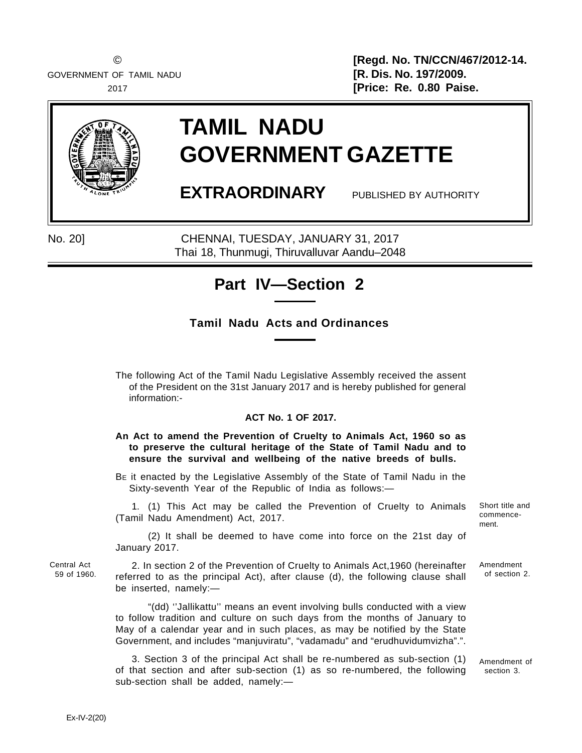GOVERNMENT OF TAMIL NADU **EXECUTE: [R. Dis. No. 197/2009.** 

© **[Regd. No. TN/CCN/467/2012-14.** 2017 **[Price: Re. 0.80 Paise.**



# **TAMIL NADU GOVERNMENT GAZETTE**

**EXTRAORDINARY** PUBLISHED BY AUTHORITY

No. 20] CHENNAI, TUESDAY, JANUARY 31, 2017 Thai 18, Thunmugi, Thiruvalluvar Aandu–2048

# **Part IV—Section 2**

## **Tamil Nadu Acts and Ordinances**

The following Act of the Tamil Nadu Legislative Assembly received the assent of the President on the 31st January 2017 and is hereby published for general information:-

### **ACT No. 1 OF 2017.**

#### **An Act to amend the Prevention of Cruelty to Animals Act, 1960 so as to preserve the cultural heritage of the State of Tamil Nadu and to ensure the survival and wellbeing of the native breeds of bulls.**

BE it enacted by the Legislative Assembly of the State of Tamil Nadu in the Sixty-seventh Year of the Republic of India as follows:—

1. (1) This Act may be called the Prevention of Cruelty to Animals (Tamil Nadu Amendment) Act, 2017.

(2) It shall be deemed to have come into force on the 21st day of January 2017.

Central Act 59 of 1960.

2. In section 2 of the Prevention of Cruelty to Animals Act,1960 (hereinafter referred to as the principal Act), after clause (d), the following clause shall be inserted, namely:—

"(dd) ''Jallikattu'' means an event involving bulls conducted with a view to follow tradition and culture on such days from the months of January to May of a calendar year and in such places, as may be notified by the State Government, and includes "manjuviratu", "vadamadu" and "erudhuvidumvizha".".

3. Section 3 of the principal Act shall be re-numbered as sub-section (1) of that section and after sub-section (1) as so re-numbered, the following sub-section shall be added, namely:—

of section 2.

Amendment

Short title and commencement.

Amendment of section 3.